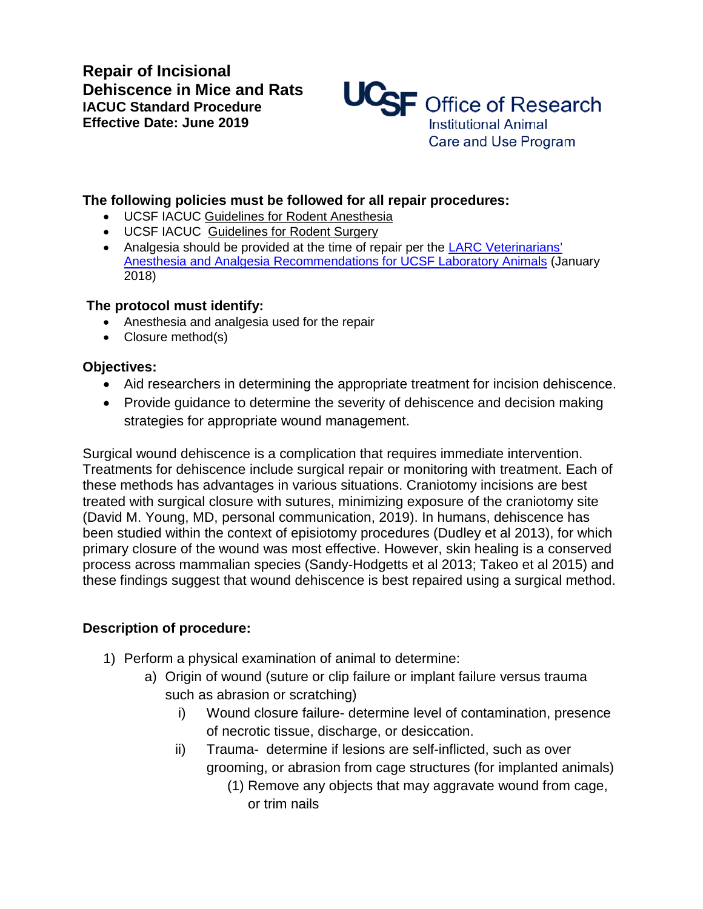**Repair of Incisional Dehiscence in Mice and Rats IACUC Standard Procedure Effective Date: June 2019**



## **The following policies must be followed for all repair procedures:**

- UCSF IACUC Guidelines for Rodent Anesthesia
- UCSF IACUC Guidelines for Rodent Surgery
- Analgesia should be provided at the time of repair per the LARC Veterinarians' [Anesthesia and Analgesia Recommendations for UCSF Laboratory Animals](https://larc.ucsf.edu/sites/larc.ucsf.edu/files/wysiwyg/LARC%20Veterinarians%E2%80%99%20Anesthesia%20and%20Analgesia%20Recommendations.pdf) (January 2018)

## **The protocol must identify:**

- Anesthesia and analgesia used for the repair
- Closure method(s)

## **Objectives:**

- Aid researchers in determining the appropriate treatment for incision dehiscence.
- Provide guidance to determine the severity of dehiscence and decision making strategies for appropriate wound management.

Surgical wound dehiscence is a complication that requires immediate intervention. Treatments for dehiscence include surgical repair or monitoring with treatment. Each of these methods has advantages in various situations. Craniotomy incisions are best treated with surgical closure with sutures, minimizing exposure of the craniotomy site (David M. Young, MD, personal communication, 2019). In humans, dehiscence has been studied within the context of episiotomy procedures (Dudley et al 2013), for which primary closure of the wound was most effective. However, skin healing is a conserved process across mammalian species (Sandy-Hodgetts et al 2013; Takeo et al 2015) and these findings suggest that wound dehiscence is best repaired using a surgical method.

## **Description of procedure:**

- 1) Perform a physical examination of animal to determine:
	- a) Origin of wound (suture or clip failure or implant failure versus trauma such as abrasion or scratching)
		- i) Wound closure failure- determine level of contamination, presence of necrotic tissue, discharge, or desiccation.
		- ii) Trauma- determine if lesions are self-inflicted, such as over grooming, or abrasion from cage structures (for implanted animals)
			- (1) Remove any objects that may aggravate wound from cage, or trim nails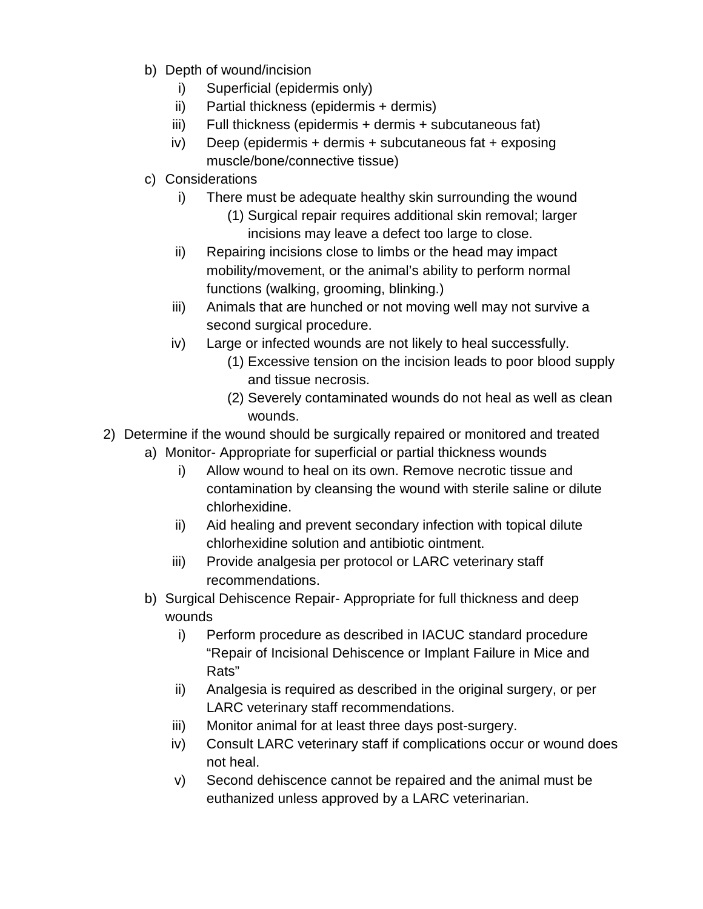- b) Depth of wound/incision
	- i) Superficial (epidermis only)
	- ii) Partial thickness (epidermis + dermis)
	- iii) Full thickness (epidermis + dermis + subcutaneous fat)
	- iv) Deep (epidermis + dermis + subcutaneous fat + exposing muscle/bone/connective tissue)
- c) Considerations
	- i) There must be adequate healthy skin surrounding the wound
		- (1) Surgical repair requires additional skin removal; larger incisions may leave a defect too large to close.
	- ii) Repairing incisions close to limbs or the head may impact mobility/movement, or the animal's ability to perform normal functions (walking, grooming, blinking.)
	- iii) Animals that are hunched or not moving well may not survive a second surgical procedure.
	- iv) Large or infected wounds are not likely to heal successfully.
		- (1) Excessive tension on the incision leads to poor blood supply and tissue necrosis.
		- (2) Severely contaminated wounds do not heal as well as clean wounds.
- 2) Determine if the wound should be surgically repaired or monitored and treated
	- a) Monitor- Appropriate for superficial or partial thickness wounds
		- i) Allow wound to heal on its own. Remove necrotic tissue and contamination by cleansing the wound with sterile saline or dilute chlorhexidine.
		- ii) Aid healing and prevent secondary infection with topical dilute chlorhexidine solution and antibiotic ointment.
		- iii) Provide analgesia per protocol or LARC veterinary staff recommendations.
	- b) Surgical Dehiscence Repair- Appropriate for full thickness and deep wounds
		- i) Perform procedure as described in IACUC standard procedure ["Repair of Incisional Dehiscence or Implant](https://iacuc.ucsf.edu/sites/g/files/tkssra751/f/wysiwyg/DehiscenceRepairIncision_1.pdf) Failure in Mice and [Rats"](https://iacuc.ucsf.edu/sites/g/files/tkssra751/f/wysiwyg/DehiscenceRepairIncision_1.pdf)
		- ii) Analgesia is required as described in the original surgery, or per LARC veterinary staff recommendations.
		- iii) Monitor animal for at least three days post-surgery.
		- iv) Consult LARC veterinary staff if complications occur or wound does not heal.
		- v) Second dehiscence cannot be repaired and the animal must be euthanized unless approved by a LARC veterinarian.